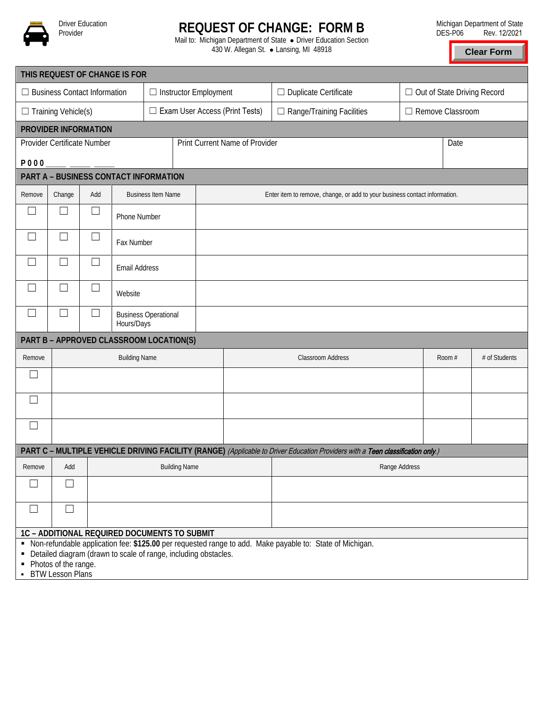

Driver Education<br>Provider

## **REQUEST OF CHANGE: FORM B**

Mail to: Michigan Department of State . Driver Education Section 430 W. Allegan St. • Lansing, MI 48918

**Clear Form**

| THIS REQUEST OF CHANGE IS FOR                                                                                                                                                   |                                                                                                                          |                          |                                           |                                       |  |  |  |                                  |                                                                                                                                |  |                               |        |               |  |
|---------------------------------------------------------------------------------------------------------------------------------------------------------------------------------|--------------------------------------------------------------------------------------------------------------------------|--------------------------|-------------------------------------------|---------------------------------------|--|--|--|----------------------------------|--------------------------------------------------------------------------------------------------------------------------------|--|-------------------------------|--------|---------------|--|
| $\Box$ Business Contact Information                                                                                                                                             |                                                                                                                          |                          |                                           | $\Box$ Instructor Employment          |  |  |  | $\Box$ Duplicate Certificate     |                                                                                                                                |  | □ Out of State Driving Record |        |               |  |
| $\Box$ Training Vehicle(s)                                                                                                                                                      |                                                                                                                          |                          |                                           | $\Box$ Exam User Access (Print Tests) |  |  |  | $\Box$ Range/Training Facilities |                                                                                                                                |  | □ Remove Classroom            |        |               |  |
| PROVIDER INFORMATION                                                                                                                                                            |                                                                                                                          |                          |                                           |                                       |  |  |  |                                  |                                                                                                                                |  |                               |        |               |  |
| Print Current Name of Provider<br>Provider Certificate Number                                                                                                                   |                                                                                                                          |                          |                                           |                                       |  |  |  |                                  |                                                                                                                                |  |                               | Date   |               |  |
| <b>P000</b>                                                                                                                                                                     |                                                                                                                          |                          |                                           |                                       |  |  |  |                                  |                                                                                                                                |  |                               |        |               |  |
| PART A - BUSINESS CONTACT INFORMATION                                                                                                                                           |                                                                                                                          |                          |                                           |                                       |  |  |  |                                  |                                                                                                                                |  |                               |        |               |  |
| Remove                                                                                                                                                                          | Add<br><b>Business Item Name</b><br>Change<br>Enter item to remove, change, or add to your business contact information. |                          |                                           |                                       |  |  |  |                                  |                                                                                                                                |  |                               |        |               |  |
|                                                                                                                                                                                 |                                                                                                                          |                          | Phone Number                              |                                       |  |  |  |                                  |                                                                                                                                |  |                               |        |               |  |
| L.                                                                                                                                                                              |                                                                                                                          | $\overline{\phantom{a}}$ | Fax Number                                |                                       |  |  |  |                                  |                                                                                                                                |  |                               |        |               |  |
| $\vert \ \ \vert$                                                                                                                                                               |                                                                                                                          | $\overline{\phantom{a}}$ | <b>Email Address</b>                      |                                       |  |  |  |                                  |                                                                                                                                |  |                               |        |               |  |
| $\Box$                                                                                                                                                                          |                                                                                                                          |                          | Website                                   |                                       |  |  |  |                                  |                                                                                                                                |  |                               |        |               |  |
| ⊔                                                                                                                                                                               | $\Box$                                                                                                                   | ⊔                        | <b>Business Operational</b><br>Hours/Days |                                       |  |  |  |                                  |                                                                                                                                |  |                               |        |               |  |
| PART B - APPROVED CLASSROOM LOCATION(S)                                                                                                                                         |                                                                                                                          |                          |                                           |                                       |  |  |  |                                  |                                                                                                                                |  |                               |        |               |  |
| Remove                                                                                                                                                                          | <b>Building Name</b>                                                                                                     |                          |                                           |                                       |  |  |  | <b>Classroom Address</b>         |                                                                                                                                |  |                               | Room # | # of Students |  |
| $\Box$                                                                                                                                                                          |                                                                                                                          |                          |                                           |                                       |  |  |  |                                  |                                                                                                                                |  |                               |        |               |  |
| $\Box$                                                                                                                                                                          |                                                                                                                          |                          |                                           |                                       |  |  |  |                                  |                                                                                                                                |  |                               |        |               |  |
| $\Box$                                                                                                                                                                          |                                                                                                                          |                          |                                           |                                       |  |  |  |                                  |                                                                                                                                |  |                               |        |               |  |
|                                                                                                                                                                                 |                                                                                                                          |                          |                                           |                                       |  |  |  |                                  | PART C - MULTIPLE VEHICLE DRIVING FACILITY (RANGE) (Applicable to Driver Education Providers with a Teen classification only.) |  |                               |        |               |  |
| Remove                                                                                                                                                                          | Add                                                                                                                      | <b>Building Name</b>     |                                           |                                       |  |  |  | Range Address                    |                                                                                                                                |  |                               |        |               |  |
| $\Box$                                                                                                                                                                          | $\Box$                                                                                                                   |                          |                                           |                                       |  |  |  |                                  |                                                                                                                                |  |                               |        |               |  |
| $\Box$                                                                                                                                                                          | $\Box$                                                                                                                   |                          |                                           |                                       |  |  |  |                                  |                                                                                                                                |  |                               |        |               |  |
| 1C - ADDITIONAL REQUIRED DOCUMENTS TO SUBMIT                                                                                                                                    |                                                                                                                          |                          |                                           |                                       |  |  |  |                                  |                                                                                                                                |  |                               |        |               |  |
| • Non-refundable application fee: \$125.00 per requested range to add. Make payable to: State of Michigan.<br>• Detailed diagram (drawn to scale of range, including obstacles. |                                                                                                                          |                          |                                           |                                       |  |  |  |                                  |                                                                                                                                |  |                               |        |               |  |
| Photos of the range.<br>٠                                                                                                                                                       |                                                                                                                          |                          |                                           |                                       |  |  |  |                                  |                                                                                                                                |  |                               |        |               |  |
| ٠.                                                                                                                                                                              | <b>BTW Lesson Plans</b>                                                                                                  |                          |                                           |                                       |  |  |  |                                  |                                                                                                                                |  |                               |        |               |  |